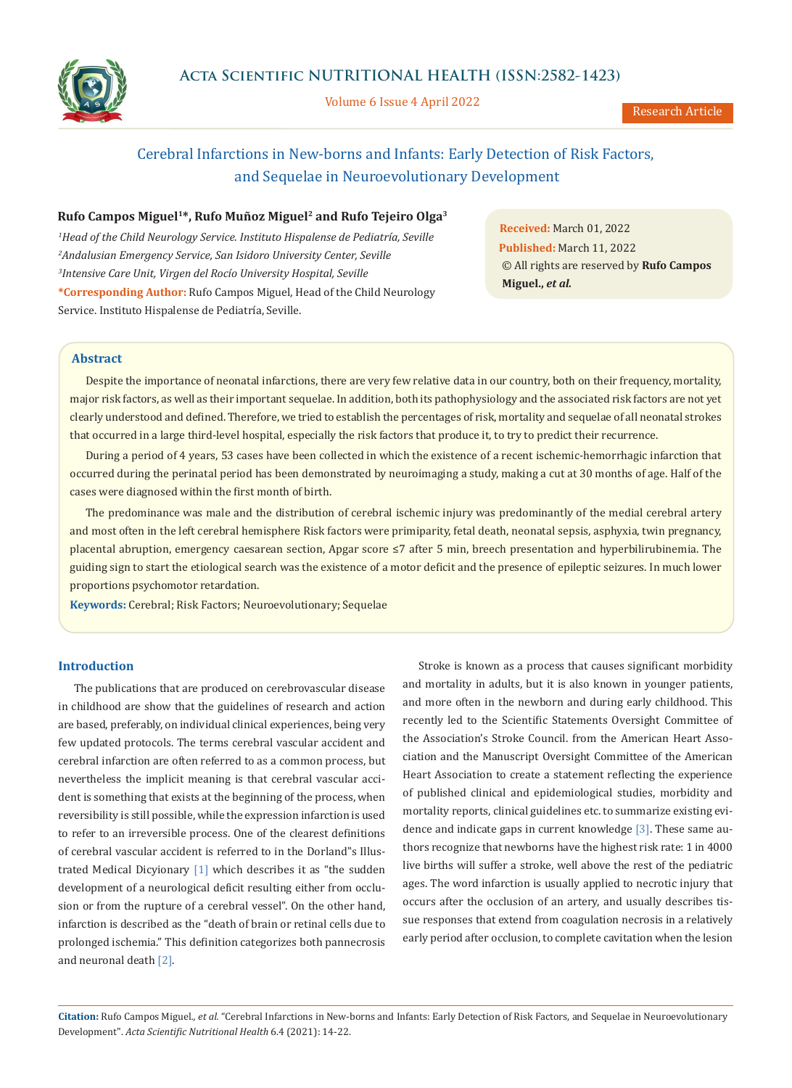

Volume 6 Issue 4 April 2022

# Cerebral Infarctions in New-borns and Infants: Early Detection of Risk Factors, and Sequelae in Neuroevolutionary Development

## **Rufo Campos Miguel1\*, Rufo Muñoz Miguel2 and Rufo Tejeiro Olga3**

*1 Head of the Child Neurology Service. Instituto Hispalense de Pediatría, Seville 2 Andalusian Emergency Service, San Isidoro University Center, Seville 3 Intensive Care Unit, Virgen del Rocío University Hospital, Seville* **\*Corresponding Author:** Rufo Campos Miguel, Head of the Child Neurology Service. Instituto Hispalense de Pediatría, Seville.

**Received:** March 01, 2022 **Published:** March 11, 2022 © All rights are reserved by **Rufo Campos Miguel.,** *et al.*

# **Abstract**

Despite the importance of neonatal infarctions, there are very few relative data in our country, both on their frequency, mortality, major risk factors, as well as their important sequelae. In addition, both its pathophysiology and the associated risk factors are not yet clearly understood and defined. Therefore, we tried to establish the percentages of risk, mortality and sequelae of all neonatal strokes that occurred in a large third-level hospital, especially the risk factors that produce it, to try to predict their recurrence.

During a period of 4 years, 53 cases have been collected in which the existence of a recent ischemic-hemorrhagic infarction that occurred during the perinatal period has been demonstrated by neuroimaging a study, making a cut at 30 months of age. Half of the cases were diagnosed within the first month of birth.

The predominance was male and the distribution of cerebral ischemic injury was predominantly of the medial cerebral artery and most often in the left cerebral hemisphere Risk factors were primiparity, fetal death, neonatal sepsis, asphyxia, twin pregnancy, placental abruption, emergency caesarean section, Apgar score ≤7 after 5 min, breech presentation and hyperbilirubinemia. The guiding sign to start the etiological search was the existence of a motor deficit and the presence of epileptic seizures. In much lower proportions psychomotor retardation.

**Keywords:** Cerebral; Risk Factors; Neuroevolutionary; Sequelae

# **Introduction**

The publications that are produced on cerebrovascular disease in childhood are show that the guidelines of research and action are based, preferably, on individual clinical experiences, being very few updated protocols. The terms cerebral vascular accident and cerebral infarction are often referred to as a common process, but nevertheless the implicit meaning is that cerebral vascular accident is something that exists at the beginning of the process, when reversibility is still possible, while the expression infarction is used to refer to an irreversible process. One of the clearest definitions of cerebral vascular accident is referred to in the Dorland"s Illustrated Medical Dicyionary [1] which describes it as "the sudden development of a neurological deficit resulting either from occlusion or from the rupture of a cerebral vessel". On the other hand, infarction is described as the "death of brain or retinal cells due to prolonged ischemia." This definition categorizes both pannecrosis and neuronal death [2].

Stroke is known as a process that causes significant morbidity and mortality in adults, but it is also known in younger patients, and more often in the newborn and during early childhood. This recently led to the Scientific Statements Oversight Committee of the Association's Stroke Council. from the American Heart Association and the Manuscript Oversight Committee of the American Heart Association to create a statement reflecting the experience of published clinical and epidemiological studies, morbidity and mortality reports, clinical guidelines etc. to summarize existing evidence and indicate gaps in current knowledge [3]. These same authors recognize that newborns have the highest risk rate: 1 in 4000 live births will suffer a stroke, well above the rest of the pediatric ages. The word infarction is usually applied to necrotic injury that occurs after the occlusion of an artery, and usually describes tissue responses that extend from coagulation necrosis in a relatively early period after occlusion, to complete cavitation when the lesion

**Citation:** Rufo Campos Miguel*., et al.* "Cerebral Infarctions in New-borns and Infants: Early Detection of Risk Factors, and Sequelae in Neuroevolutionary Development". *Acta Scientific Nutritional Health* 6.4 (2021): 14-22.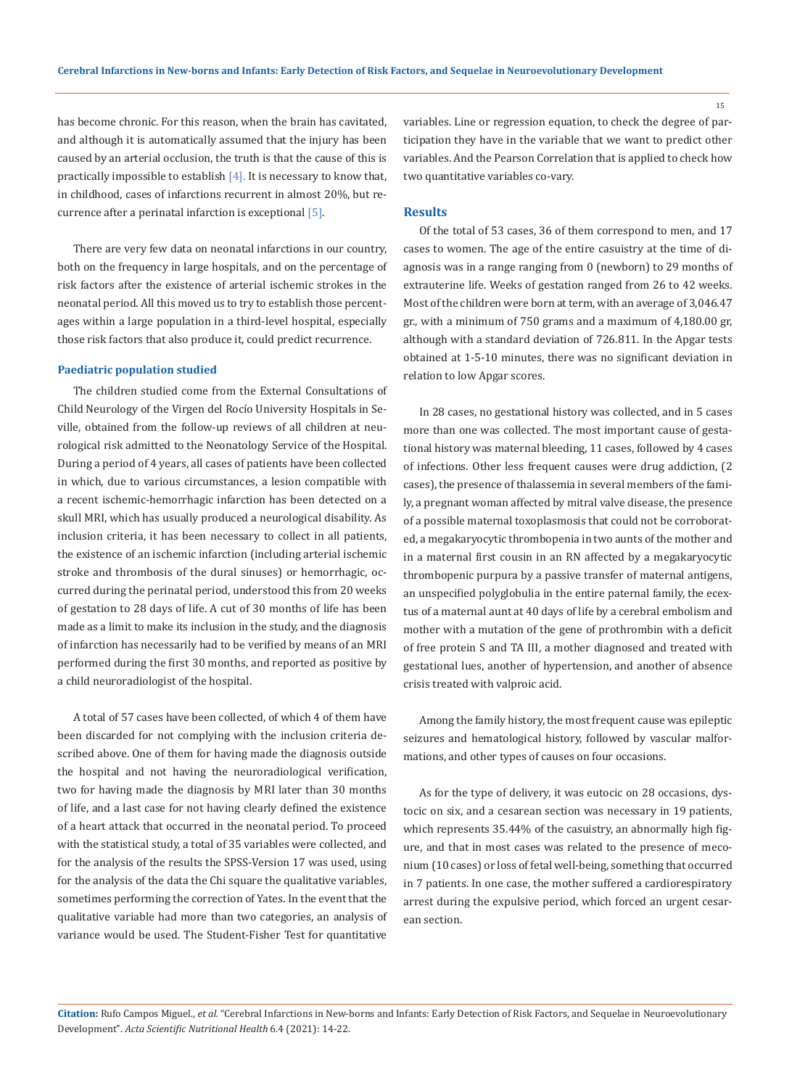has become chronic. For this reason, when the brain has cavitated, and although it is automatically assumed that the injury has been caused by an arterial occlusion, the truth is that the cause of this is practically impossible to establish  $[4]$ . It is necessary to know that, in childhood, cases of infarctions recurrent in almost 20%, but recurrence after a perinatal infarction is exceptional [5].

There are very few data on neonatal infarctions in our country, both on the frequency in large hospitals, and on the percentage of risk factors after the existence of arterial ischemic strokes in the neonatal period. All this moved us to try to establish those percentages within a large population in a third-level hospital, especially those risk factors that also produce it, could predict recurrence.

## **Paediatric population studied**

The children studied come from the External Consultations of Child Neurology of the Virgen del Rocío University Hospitals in Seville, obtained from the follow-up reviews of all children at neurological risk admitted to the Neonatology Service of the Hospital. During a period of 4 years, all cases of patients have been collected in which, due to various circumstances, a lesion compatible with a recent ischemic-hemorrhagic infarction has been detected on a skull MRI, which has usually produced a neurological disability. As inclusion criteria, it has been necessary to collect in all patients, the existence of an ischemic infarction (including arterial ischemic stroke and thrombosis of the dural sinuses) or hemorrhagic, occurred during the perinatal period, understood this from 20 weeks of gestation to 28 days of life. A cut of 30 months of life has been made as a limit to make its inclusion in the study, and the diagnosis of infarction has necessarily had to be verified by means of an MRI performed during the first 30 months, and reported as positive by a child neuroradiologist of the hospital.

A total of 57 cases have been collected, of which 4 of them have been discarded for not complying with the inclusion criteria described above. One of them for having made the diagnosis outside the hospital and not having the neuroradiological verification, two for having made the diagnosis by MRI later than 30 months of life, and a last case for not having clearly defined the existence of a heart attack that occurred in the neonatal period. To proceed with the statistical study, a total of 35 variables were collected, and for the analysis of the results the SPSS-Version 17 was used, using for the analysis of the data the Chi square the qualitative variables, sometimes performing the correction of Yates. In the event that the qualitative variable had more than two categories, an analysis of variance would be used. The Student-Fisher Test for quantitative

variables. Line or regression equation, to check the degree of participation they have in the variable that we want to predict other variables. And the Pearson Correlation that is applied to check how two quantitative variables co-vary.

#### **Results**

Of the total of 53 cases, 36 of them correspond to men, and 17 cases to women. The age of the entire casuistry at the time of diagnosis was in a range ranging from 0 (newborn) to 29 months of extrauterine life. Weeks of gestation ranged from 26 to 42 weeks. Most of the children were born at term, with an average of 3,046.47 gr., with a minimum of 750 grams and a maximum of 4,180.00 gr, although with a standard deviation of 726.811. In the Apgar tests obtained at 1-5-10 minutes, there was no significant deviation in relation to low Apgar scores.

In 28 cases, no gestational history was collected, and in 5 cases more than one was collected. The most important cause of gestational history was maternal bleeding, 11 cases, followed by 4 cases of infections. Other less frequent causes were drug addiction, (2 cases), the presence of thalassemia in several members of the family, a pregnant woman affected by mitral valve disease, the presence of a possible maternal toxoplasmosis that could not be corroborated, a megakaryocytic thrombopenia in two aunts of the mother and in a maternal first cousin in an RN affected by a megakaryocytic thrombopenic purpura by a passive transfer of maternal antigens, an unspecified polyglobulia in the entire paternal family, the ecextus of a maternal aunt at 40 days of life by a cerebral embolism and mother with a mutation of the gene of prothrombin with a deficit of free protein S and TA III, a mother diagnosed and treated with gestational lues, another of hypertension, and another of absence crisis treated with valproic acid.

Among the family history, the most frequent cause was epileptic seizures and hematological history, followed by vascular malformations, and other types of causes on four occasions.

As for the type of delivery, it was eutocic on 28 occasions, dystocic on six, and a cesarean section was necessary in 19 patients, which represents 35.44% of the casuistry, an abnormally high figure, and that in most cases was related to the presence of meconium (10 cases) or loss of fetal well-being, something that occurred in 7 patients. In one case, the mother suffered a cardiorespiratory arrest during the expulsive period, which forced an urgent cesarean section.

**Citation:** Rufo Campos Miguel*., et al.* "Cerebral Infarctions in New-borns and Infants: Early Detection of Risk Factors, and Sequelae in Neuroevolutionary Development". *Acta Scientific Nutritional Health* 6.4 (2021): 14-22.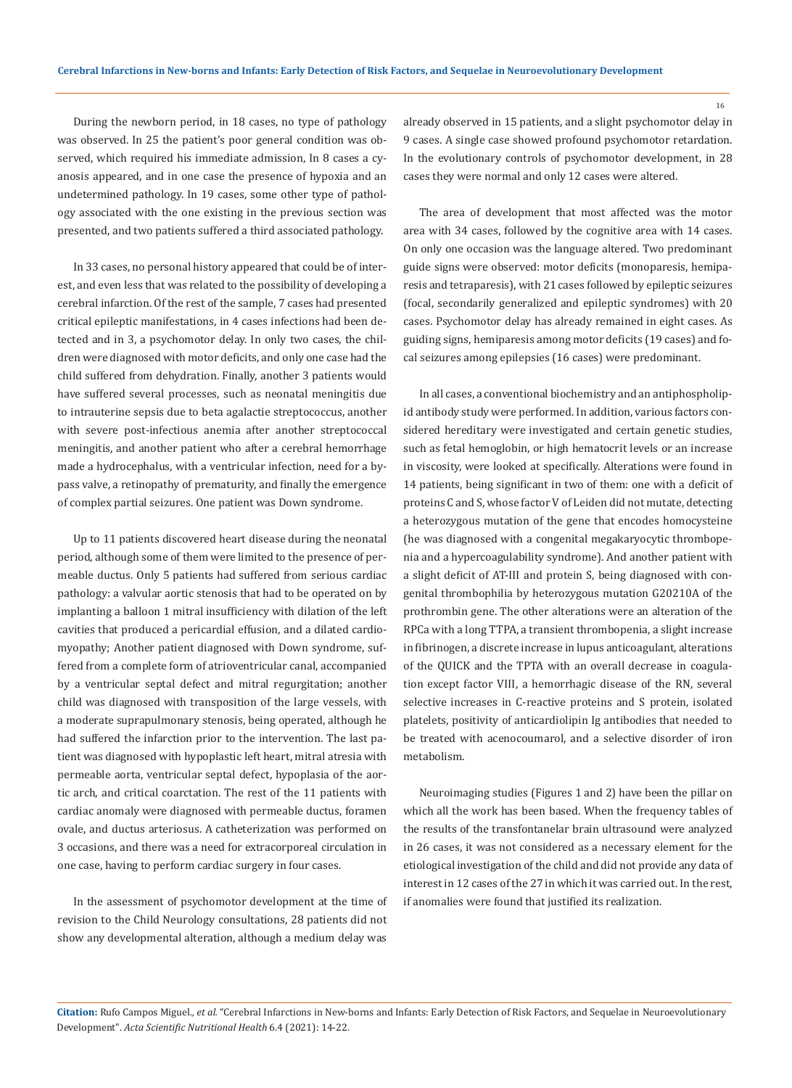During the newborn period, in 18 cases, no type of pathology was observed. In 25 the patient's poor general condition was observed, which required his immediate admission, In 8 cases a cyanosis appeared, and in one case the presence of hypoxia and an undetermined pathology. In 19 cases, some other type of pathology associated with the one existing in the previous section was presented, and two patients suffered a third associated pathology.

In 33 cases, no personal history appeared that could be of interest, and even less that was related to the possibility of developing a cerebral infarction. Of the rest of the sample, 7 cases had presented critical epileptic manifestations, in 4 cases infections had been detected and in 3, a psychomotor delay. In only two cases, the children were diagnosed with motor deficits, and only one case had the child suffered from dehydration. Finally, another 3 patients would have suffered several processes, such as neonatal meningitis due to intrauterine sepsis due to beta agalactie streptococcus, another with severe post-infectious anemia after another streptococcal meningitis, and another patient who after a cerebral hemorrhage made a hydrocephalus, with a ventricular infection, need for a bypass valve, a retinopathy of prematurity, and finally the emergence of complex partial seizures. One patient was Down syndrome.

Up to 11 patients discovered heart disease during the neonatal period, although some of them were limited to the presence of permeable ductus. Only 5 patients had suffered from serious cardiac pathology: a valvular aortic stenosis that had to be operated on by implanting a balloon 1 mitral insufficiency with dilation of the left cavities that produced a pericardial effusion, and a dilated cardiomyopathy; Another patient diagnosed with Down syndrome, suffered from a complete form of atrioventricular canal, accompanied by a ventricular septal defect and mitral regurgitation; another child was diagnosed with transposition of the large vessels, with a moderate suprapulmonary stenosis, being operated, although he had suffered the infarction prior to the intervention. The last patient was diagnosed with hypoplastic left heart, mitral atresia with permeable aorta, ventricular septal defect, hypoplasia of the aortic arch, and critical coarctation. The rest of the 11 patients with cardiac anomaly were diagnosed with permeable ductus, foramen ovale, and ductus arteriosus. A catheterization was performed on 3 occasions, and there was a need for extracorporeal circulation in one case, having to perform cardiac surgery in four cases.

In the assessment of psychomotor development at the time of revision to the Child Neurology consultations, 28 patients did not show any developmental alteration, although a medium delay was already observed in 15 patients, and a slight psychomotor delay in 9 cases. A single case showed profound psychomotor retardation. In the evolutionary controls of psychomotor development, in 28 cases they were normal and only 12 cases were altered.

The area of development that most affected was the motor area with 34 cases, followed by the cognitive area with 14 cases. On only one occasion was the language altered. Two predominant guide signs were observed: motor deficits (monoparesis, hemiparesis and tetraparesis), with 21 cases followed by epileptic seizures (focal, secondarily generalized and epileptic syndromes) with 20 cases. Psychomotor delay has already remained in eight cases. As guiding signs, hemiparesis among motor deficits (19 cases) and focal seizures among epilepsies (16 cases) were predominant.

In all cases, a conventional biochemistry and an antiphospholipid antibody study were performed. In addition, various factors considered hereditary were investigated and certain genetic studies, such as fetal hemoglobin, or high hematocrit levels or an increase in viscosity, were looked at specifically. Alterations were found in 14 patients, being significant in two of them: one with a deficit of proteins C and S, whose factor V of Leiden did not mutate, detecting a heterozygous mutation of the gene that encodes homocysteine (he was diagnosed with a congenital megakaryocytic thrombopenia and a hypercoagulability syndrome). And another patient with a slight deficit of AT-III and protein S, being diagnosed with congenital thrombophilia by heterozygous mutation G20210A of the prothrombin gene. The other alterations were an alteration of the RPCa with a long TTPA, a transient thrombopenia, a slight increase in fibrinogen, a discrete increase in lupus anticoagulant, alterations of the QUICK and the TPTA with an overall decrease in coagulation except factor VIII, a hemorrhagic disease of the RN, several selective increases in C-reactive proteins and S protein, isolated platelets, positivity of anticardiolipin Ig antibodies that needed to be treated with acenocoumarol, and a selective disorder of iron metabolism.

Neuroimaging studies (Figures 1 and 2) have been the pillar on which all the work has been based. When the frequency tables of the results of the transfontanelar brain ultrasound were analyzed in 26 cases, it was not considered as a necessary element for the etiological investigation of the child and did not provide any data of interest in 12 cases of the 27 in which it was carried out. In the rest, if anomalies were found that justified its realization.

**Citation:** Rufo Campos Miguel*., et al.* "Cerebral Infarctions in New-borns and Infants: Early Detection of Risk Factors, and Sequelae in Neuroevolutionary Development". *Acta Scientific Nutritional Health* 6.4 (2021): 14-22.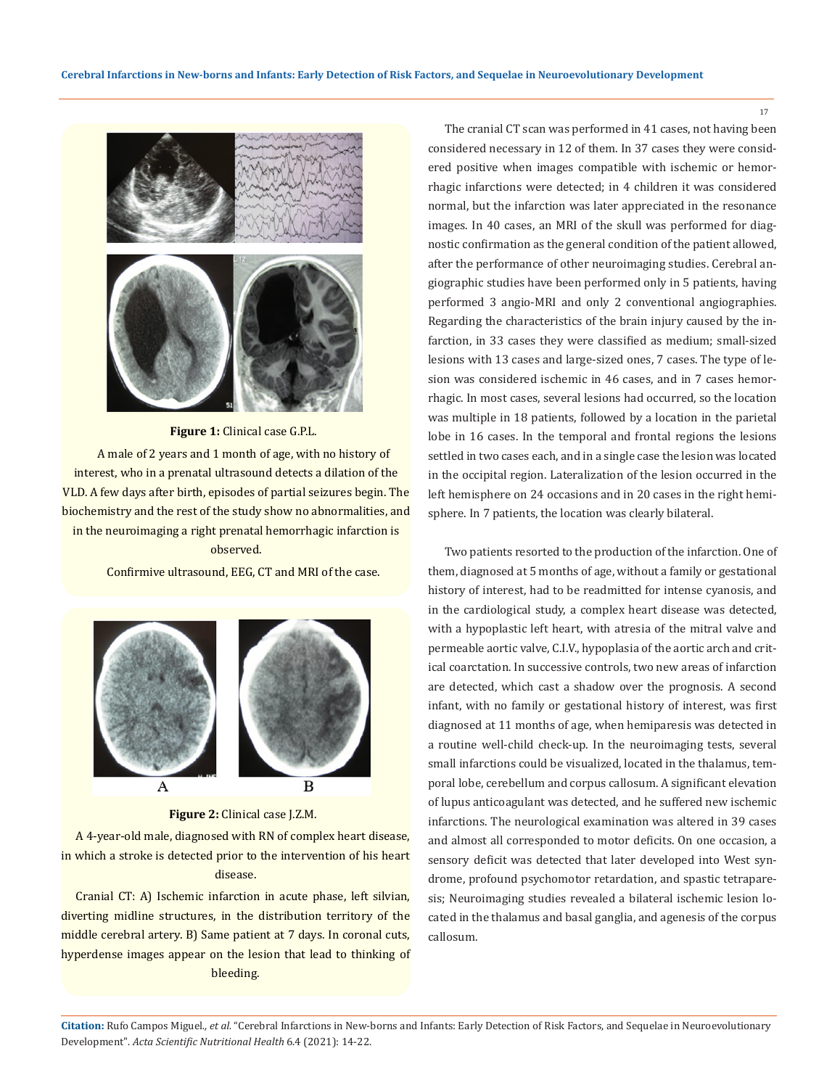

## **Figure 1:** Clinical case G.P.L.

A male of 2 years and 1 month of age, with no history of interest, who in a prenatal ultrasound detects a dilation of the VLD. A few days after birth, episodes of partial seizures begin. The biochemistry and the rest of the study show no abnormalities, and in the neuroimaging a right prenatal hemorrhagic infarction is observed.

Confirmive ultrasound, EEG, CT and MRI of the case.



#### **Figure 2:** Clinical case J.Z.M.

A 4-year-old male, diagnosed with RN of complex heart disease, in which a stroke is detected prior to the intervention of his heart disease.

Cranial CT: A) Ischemic infarction in acute phase, left silvian, diverting midline structures, in the distribution territory of the middle cerebral artery. B) Same patient at 7 days. In coronal cuts, hyperdense images appear on the lesion that lead to thinking of bleeding.

The cranial CT scan was performed in 41 cases, not having been considered necessary in 12 of them. In 37 cases they were considered positive when images compatible with ischemic or hemorrhagic infarctions were detected; in 4 children it was considered normal, but the infarction was later appreciated in the resonance images. In 40 cases, an MRI of the skull was performed for diagnostic confirmation as the general condition of the patient allowed, after the performance of other neuroimaging studies. Cerebral angiographic studies have been performed only in 5 patients, having performed 3 angio-MRI and only 2 conventional angiographies. Regarding the characteristics of the brain injury caused by the infarction, in 33 cases they were classified as medium; small-sized lesions with 13 cases and large-sized ones, 7 cases. The type of lesion was considered ischemic in 46 cases, and in 7 cases hemorrhagic. In most cases, several lesions had occurred, so the location was multiple in 18 patients, followed by a location in the parietal lobe in 16 cases. In the temporal and frontal regions the lesions settled in two cases each, and in a single case the lesion was located in the occipital region. Lateralization of the lesion occurred in the left hemisphere on 24 occasions and in 20 cases in the right hemisphere. In 7 patients, the location was clearly bilateral.

Two patients resorted to the production of the infarction. One of them, diagnosed at 5 months of age, without a family or gestational history of interest, had to be readmitted for intense cyanosis, and in the cardiological study, a complex heart disease was detected, with a hypoplastic left heart, with atresia of the mitral valve and permeable aortic valve, C.I.V., hypoplasia of the aortic arch and critical coarctation. In successive controls, two new areas of infarction are detected, which cast a shadow over the prognosis. A second infant, with no family or gestational history of interest, was first diagnosed at 11 months of age, when hemiparesis was detected in a routine well-child check-up. In the neuroimaging tests, several small infarctions could be visualized, located in the thalamus, temporal lobe, cerebellum and corpus callosum. A significant elevation of lupus anticoagulant was detected, and he suffered new ischemic infarctions. The neurological examination was altered in 39 cases and almost all corresponded to motor deficits. On one occasion, a sensory deficit was detected that later developed into West syndrome, profound psychomotor retardation, and spastic tetraparesis; Neuroimaging studies revealed a bilateral ischemic lesion located in the thalamus and basal ganglia, and agenesis of the corpus callosum.

**Citation:** Rufo Campos Miguel*., et al.* "Cerebral Infarctions in New-borns and Infants: Early Detection of Risk Factors, and Sequelae in Neuroevolutionary Development". *Acta Scientific Nutritional Health* 6.4 (2021): 14-22.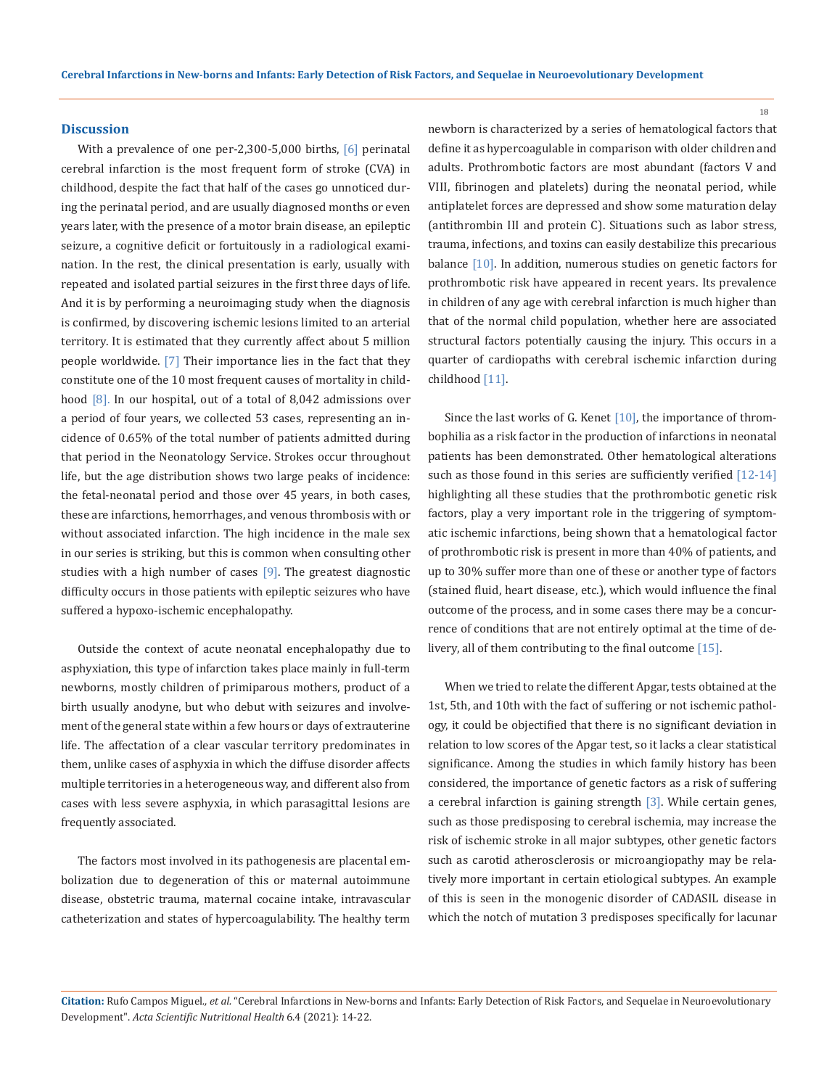#### **Discussion**

With a prevalence of one per-2,300-5,000 births, [6] perinatal cerebral infarction is the most frequent form of stroke (CVA) in childhood, despite the fact that half of the cases go unnoticed during the perinatal period, and are usually diagnosed months or even years later, with the presence of a motor brain disease, an epileptic seizure, a cognitive deficit or fortuitously in a radiological examination. In the rest, the clinical presentation is early, usually with repeated and isolated partial seizures in the first three days of life. And it is by performing a neuroimaging study when the diagnosis is confirmed, by discovering ischemic lesions limited to an arterial territory. It is estimated that they currently affect about 5 million people worldwide. [7] Their importance lies in the fact that they constitute one of the 10 most frequent causes of mortality in childhood [8]. In our hospital, out of a total of 8,042 admissions over a period of four years, we collected 53 cases, representing an incidence of 0.65% of the total number of patients admitted during that period in the Neonatology Service. Strokes occur throughout life, but the age distribution shows two large peaks of incidence: the fetal-neonatal period and those over 45 years, in both cases, these are infarctions, hemorrhages, and venous thrombosis with or without associated infarction. The high incidence in the male sex in our series is striking, but this is common when consulting other studies with a high number of cases  $[9]$ . The greatest diagnostic difficulty occurs in those patients with epileptic seizures who have suffered a hypoxo-ischemic encephalopathy.

Outside the context of acute neonatal encephalopathy due to asphyxiation, this type of infarction takes place mainly in full-term newborns, mostly children of primiparous mothers, product of a birth usually anodyne, but who debut with seizures and involvement of the general state within a few hours or days of extrauterine life. The affectation of a clear vascular territory predominates in them, unlike cases of asphyxia in which the diffuse disorder affects multiple territories in a heterogeneous way, and different also from cases with less severe asphyxia, in which parasagittal lesions are frequently associated.

The factors most involved in its pathogenesis are placental embolization due to degeneration of this or maternal autoimmune disease, obstetric trauma, maternal cocaine intake, intravascular catheterization and states of hypercoagulability. The healthy term newborn is characterized by a series of hematological factors that define it as hypercoagulable in comparison with older children and adults. Prothrombotic factors are most abundant (factors V and VIII, fibrinogen and platelets) during the neonatal period, while antiplatelet forces are depressed and show some maturation delay (antithrombin III and protein C). Situations such as labor stress, trauma, infections, and toxins can easily destabilize this precarious balance [10]. In addition, numerous studies on genetic factors for prothrombotic risk have appeared in recent years. Its prevalence in children of any age with cerebral infarction is much higher than that of the normal child population, whether here are associated structural factors potentially causing the injury. This occurs in a quarter of cardiopaths with cerebral ischemic infarction during childhood [11].

Since the last works of G. Kenet [10], the importance of thrombophilia as a risk factor in the production of infarctions in neonatal patients has been demonstrated. Other hematological alterations such as those found in this series are sufficiently verified [12-14] highlighting all these studies that the prothrombotic genetic risk factors, play a very important role in the triggering of symptomatic ischemic infarctions, being shown that a hematological factor of prothrombotic risk is present in more than 40% of patients, and up to 30% suffer more than one of these or another type of factors (stained fluid, heart disease, etc.), which would influence the final outcome of the process, and in some cases there may be a concurrence of conditions that are not entirely optimal at the time of delivery, all of them contributing to the final outcome [15].

When we tried to relate the different Apgar, tests obtained at the 1st, 5th, and 10th with the fact of suffering or not ischemic pathology, it could be objectified that there is no significant deviation in relation to low scores of the Apgar test, so it lacks a clear statistical significance. Among the studies in which family history has been considered, the importance of genetic factors as a risk of suffering a cerebral infarction is gaining strength [3]. While certain genes, such as those predisposing to cerebral ischemia, may increase the risk of ischemic stroke in all major subtypes, other genetic factors such as carotid atherosclerosis or microangiopathy may be relatively more important in certain etiological subtypes. An example of this is seen in the monogenic disorder of CADASIL disease in which the notch of mutation 3 predisposes specifically for lacunar

**Citation:** Rufo Campos Miguel*., et al.* "Cerebral Infarctions in New-borns and Infants: Early Detection of Risk Factors, and Sequelae in Neuroevolutionary Development". *Acta Scientific Nutritional Health* 6.4 (2021): 14-22.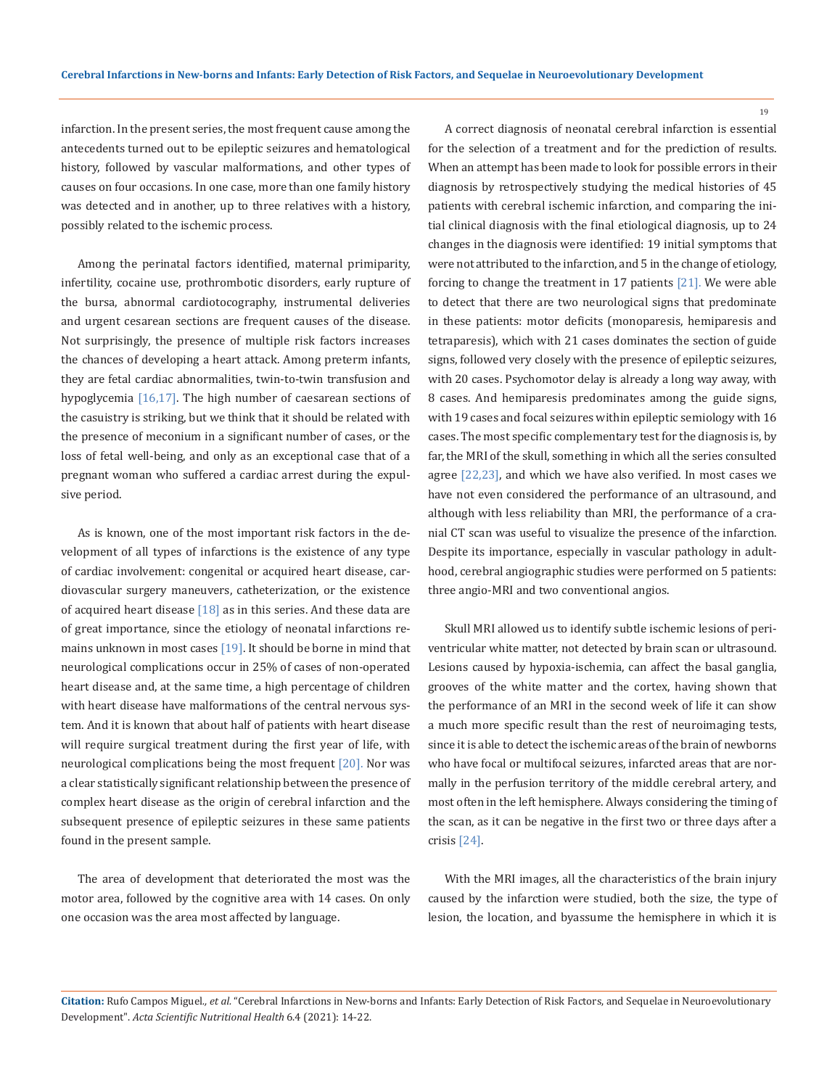infarction. In the present series, the most frequent cause among the antecedents turned out to be epileptic seizures and hematological history, followed by vascular malformations, and other types of causes on four occasions. In one case, more than one family history was detected and in another, up to three relatives with a history, possibly related to the ischemic process.

Among the perinatal factors identified, maternal primiparity, infertility, cocaine use, prothrombotic disorders, early rupture of the bursa, abnormal cardiotocography, instrumental deliveries and urgent cesarean sections are frequent causes of the disease. Not surprisingly, the presence of multiple risk factors increases the chances of developing a heart attack. Among preterm infants, they are fetal cardiac abnormalities, twin-to-twin transfusion and hypoglycemia [16,17]. The high number of caesarean sections of the casuistry is striking, but we think that it should be related with the presence of meconium in a significant number of cases, or the loss of fetal well-being, and only as an exceptional case that of a pregnant woman who suffered a cardiac arrest during the expulsive period.

As is known, one of the most important risk factors in the development of all types of infarctions is the existence of any type of cardiac involvement: congenital or acquired heart disease, cardiovascular surgery maneuvers, catheterization, or the existence of acquired heart disease  $[18]$  as in this series. And these data are of great importance, since the etiology of neonatal infarctions remains unknown in most cases [19]. It should be borne in mind that neurological complications occur in 25% of cases of non-operated heart disease and, at the same time, a high percentage of children with heart disease have malformations of the central nervous system. And it is known that about half of patients with heart disease will require surgical treatment during the first year of life, with neurological complications being the most frequent [20]. Nor was a clear statistically significant relationship between the presence of complex heart disease as the origin of cerebral infarction and the subsequent presence of epileptic seizures in these same patients found in the present sample.

The area of development that deteriorated the most was the motor area, followed by the cognitive area with 14 cases. On only one occasion was the area most affected by language.

A correct diagnosis of neonatal cerebral infarction is essential for the selection of a treatment and for the prediction of results. When an attempt has been made to look for possible errors in their diagnosis by retrospectively studying the medical histories of 45 patients with cerebral ischemic infarction, and comparing the initial clinical diagnosis with the final etiological diagnosis, up to 24 changes in the diagnosis were identified: 19 initial symptoms that were not attributed to the infarction, and 5 in the change of etiology, forcing to change the treatment in 17 patients  $[21]$ . We were able to detect that there are two neurological signs that predominate in these patients: motor deficits (monoparesis, hemiparesis and tetraparesis), which with 21 cases dominates the section of guide signs, followed very closely with the presence of epileptic seizures, with 20 cases. Psychomotor delay is already a long way away, with 8 cases. And hemiparesis predominates among the guide signs, with 19 cases and focal seizures within epileptic semiology with 16 cases. The most specific complementary test for the diagnosis is, by far, the MRI of the skull, something in which all the series consulted agree [22,23], and which we have also verified. In most cases we have not even considered the performance of an ultrasound, and although with less reliability than MRI, the performance of a cranial CT scan was useful to visualize the presence of the infarction. Despite its importance, especially in vascular pathology in adulthood, cerebral angiographic studies were performed on 5 patients: three angio-MRI and two conventional angios.

Skull MRI allowed us to identify subtle ischemic lesions of periventricular white matter, not detected by brain scan or ultrasound. Lesions caused by hypoxia-ischemia, can affect the basal ganglia, grooves of the white matter and the cortex, having shown that the performance of an MRI in the second week of life it can show a much more specific result than the rest of neuroimaging tests, since it is able to detect the ischemic areas of the brain of newborns who have focal or multifocal seizures, infarcted areas that are normally in the perfusion territory of the middle cerebral artery, and most often in the left hemisphere. Always considering the timing of the scan, as it can be negative in the first two or three days after a crisis [24].

With the MRI images, all the characteristics of the brain injury caused by the infarction were studied, both the size, the type of lesion, the location, and byassume the hemisphere in which it is

**Citation:** Rufo Campos Miguel*., et al.* "Cerebral Infarctions in New-borns and Infants: Early Detection of Risk Factors, and Sequelae in Neuroevolutionary Development". *Acta Scientific Nutritional Health* 6.4 (2021): 14-22.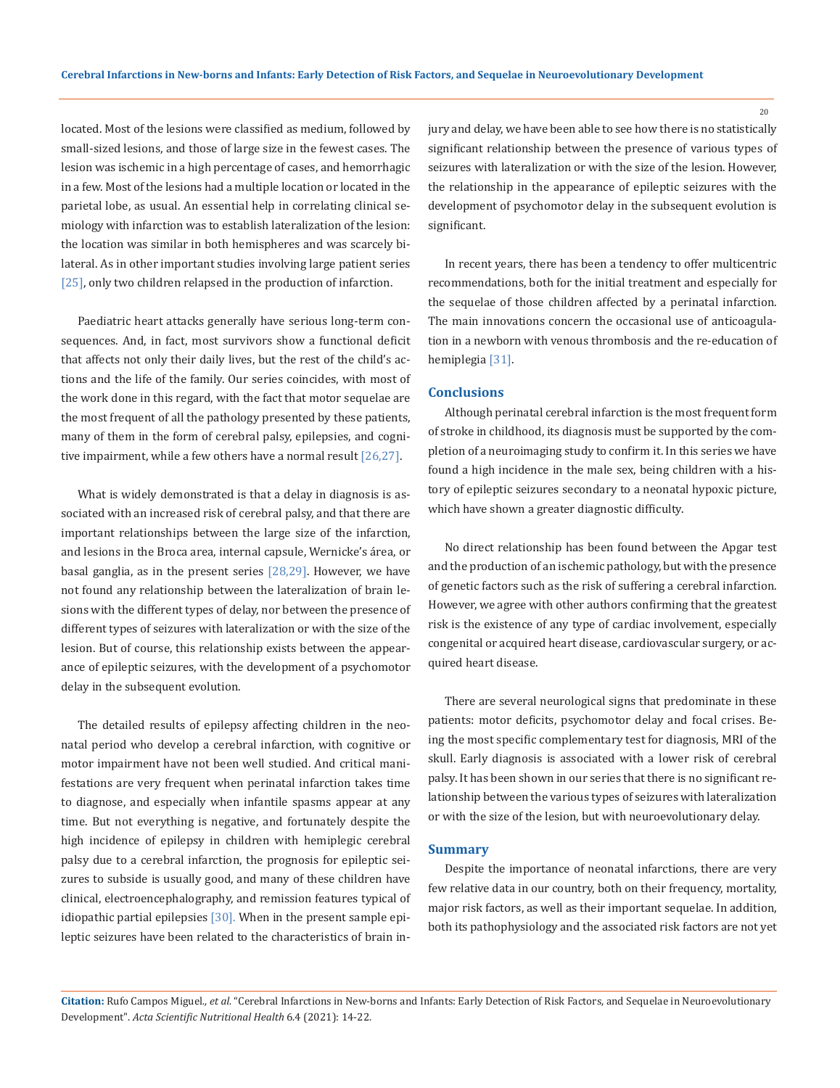located. Most of the lesions were classified as medium, followed by small-sized lesions, and those of large size in the fewest cases. The lesion was ischemic in a high percentage of cases, and hemorrhagic in a few. Most of the lesions had a multiple location or located in the parietal lobe, as usual. An essential help in correlating clinical semiology with infarction was to establish lateralization of the lesion: the location was similar in both hemispheres and was scarcely bilateral. As in other important studies involving large patient series [25], only two children relapsed in the production of infarction.

Paediatric heart attacks generally have serious long-term consequences. And, in fact, most survivors show a functional deficit that affects not only their daily lives, but the rest of the child's actions and the life of the family. Our series coincides, with most of the work done in this regard, with the fact that motor sequelae are the most frequent of all the pathology presented by these patients, many of them in the form of cerebral palsy, epilepsies, and cognitive impairment, while a few others have a normal result [26,27].

What is widely demonstrated is that a delay in diagnosis is associated with an increased risk of cerebral palsy, and that there are important relationships between the large size of the infarction, and lesions in the Broca area, internal capsule, Wernicke's área, or basal ganglia, as in the present series  $[28,29]$ . However, we have not found any relationship between the lateralization of brain lesions with the different types of delay, nor between the presence of different types of seizures with lateralization or with the size of the lesion. But of course, this relationship exists between the appearance of epileptic seizures, with the development of a psychomotor delay in the subsequent evolution.

The detailed results of epilepsy affecting children in the neonatal period who develop a cerebral infarction, with cognitive or motor impairment have not been well studied. And critical manifestations are very frequent when perinatal infarction takes time to diagnose, and especially when infantile spasms appear at any time. But not everything is negative, and fortunately despite the high incidence of epilepsy in children with hemiplegic cerebral palsy due to a cerebral infarction, the prognosis for epileptic seizures to subside is usually good, and many of these children have clinical, electroencephalography, and remission features typical of idiopathic partial epilepsies  $[30]$ . When in the present sample epileptic seizures have been related to the characteristics of brain injury and delay, we have been able to see how there is no statistically significant relationship between the presence of various types of seizures with lateralization or with the size of the lesion. However, the relationship in the appearance of epileptic seizures with the development of psychomotor delay in the subsequent evolution is significant.

In recent years, there has been a tendency to offer multicentric recommendations, both for the initial treatment and especially for the sequelae of those children affected by a perinatal infarction. The main innovations concern the occasional use of anticoagulation in a newborn with venous thrombosis and the re-education of hemiplegia [31].

# **Conclusions**

Although perinatal cerebral infarction is the most frequent form of stroke in childhood, its diagnosis must be supported by the completion of a neuroimaging study to confirm it. In this series we have found a high incidence in the male sex, being children with a history of epileptic seizures secondary to a neonatal hypoxic picture, which have shown a greater diagnostic difficulty.

No direct relationship has been found between the Apgar test and the production of an ischemic pathology, but with the presence of genetic factors such as the risk of suffering a cerebral infarction. However, we agree with other authors confirming that the greatest risk is the existence of any type of cardiac involvement, especially congenital or acquired heart disease, cardiovascular surgery, or acquired heart disease.

There are several neurological signs that predominate in these patients: motor deficits, psychomotor delay and focal crises. Being the most specific complementary test for diagnosis, MRI of the skull. Early diagnosis is associated with a lower risk of cerebral palsy. It has been shown in our series that there is no significant relationship between the various types of seizures with lateralization or with the size of the lesion, but with neuroevolutionary delay.

#### **Summary**

Despite the importance of neonatal infarctions, there are very few relative data in our country, both on their frequency, mortality, major risk factors, as well as their important sequelae. In addition, both its pathophysiology and the associated risk factors are not yet

**Citation:** Rufo Campos Miguel*., et al.* "Cerebral Infarctions in New-borns and Infants: Early Detection of Risk Factors, and Sequelae in Neuroevolutionary Development". *Acta Scientific Nutritional Health* 6.4 (2021): 14-22.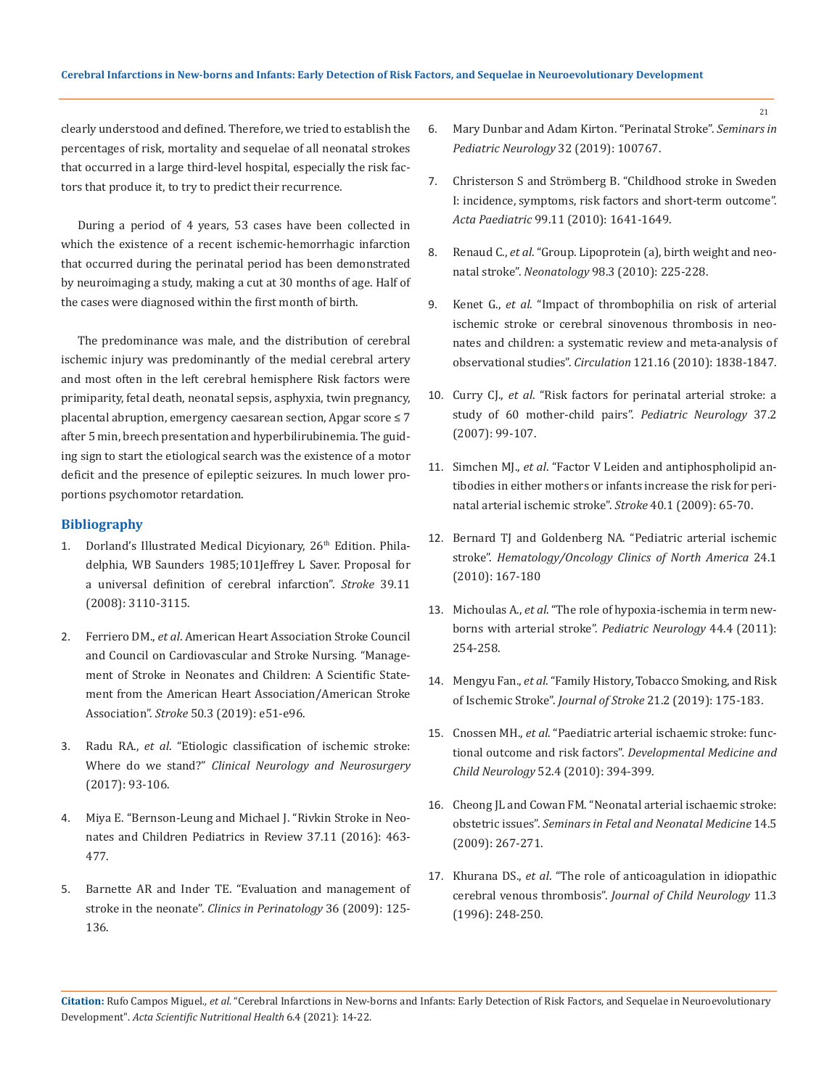clearly understood and defined. Therefore, we tried to establish the percentages of risk, mortality and sequelae of all neonatal strokes that occurred in a large third-level hospital, especially the risk factors that produce it, to try to predict their recurrence.

During a period of 4 years, 53 cases have been collected in which the existence of a recent ischemic-hemorrhagic infarction that occurred during the perinatal period has been demonstrated by neuroimaging a study, making a cut at 30 months of age. Half of the cases were diagnosed within the first month of birth.

The predominance was male, and the distribution of cerebral ischemic injury was predominantly of the medial cerebral artery and most often in the left cerebral hemisphere Risk factors were primiparity, fetal death, neonatal sepsis, asphyxia, twin pregnancy, placental abruption, emergency caesarean section, Apgar score ≤ 7 after 5 min, breech presentation and hyperbilirubinemia. The guiding sign to start the etiological search was the existence of a motor deficit and the presence of epileptic seizures. In much lower proportions psychomotor retardation.

#### **Bibliography**

- 1. Dorland's Illustrated Medical Dicyionary, 26<sup>th</sup> Edition. Philadelphia, WB Saunders 1985;101Jeffrey L Saver. Proposal for a universal definition of cerebral infarction". *Stroke* 39.11 (2008): 3110-3115.
- 2. Ferriero DM., *et al*[. American Heart Association Stroke Council](https://pubmed.ncbi.nlm.nih.gov/30686119/)  [and Council on Cardiovascular and Stroke Nursing. "Manage](https://pubmed.ncbi.nlm.nih.gov/30686119/)[ment of Stroke in Neonates and Children: A Scientific State](https://pubmed.ncbi.nlm.nih.gov/30686119/)[ment from the American Heart Association/American Stroke](https://pubmed.ncbi.nlm.nih.gov/30686119/)  Association". *Stroke* [50.3 \(2019\): e51-e96.](https://pubmed.ncbi.nlm.nih.gov/30686119/)
- 3. Radu RA., *et al*[. "Etiologic classification of ischemic stroke:](https://pubmed.ncbi.nlm.nih.gov/28609703/)  Where do we stand?" *[Clinical Neurology and Neurosurgery](https://pubmed.ncbi.nlm.nih.gov/28609703/)*  [\(2017\): 93-106.](https://pubmed.ncbi.nlm.nih.gov/28609703/)
- 4. Miya E. "Bernson-Leung and Michael J. "Rivkin Stroke in Neonates and Children Pediatrics in Review 37.11 (2016): 463- 477.
- 5. [Barnette AR and Inder TE. "Evaluation and management of](https://pubmed.ncbi.nlm.nih.gov/19161870/)  stroke in the neonate". *[Clinics in Perinatology](https://pubmed.ncbi.nlm.nih.gov/19161870/)* 36 (2009): 125- [136.](https://pubmed.ncbi.nlm.nih.gov/19161870/)
- 6. Mary Dunbar and Adam Kirton. "Perinatal Stroke". *Seminars in Pediatric Neurology* 32 (2019): 100767.
- 7. [Christerson S and Strömberg B. "Childhood stroke in Sweden](https://onlinelibrary.wiley.com/doi/10.1111/j.1651-2227.2010.01925.x)  [I: incidence, symptoms, risk factors and short-term outcome".](https://onlinelibrary.wiley.com/doi/10.1111/j.1651-2227.2010.01925.x)  *Acta Paediatric* [99.11 \(2010\): 1641-1649.](https://onlinelibrary.wiley.com/doi/10.1111/j.1651-2227.2010.01925.x)
- 8. Renaud C., *et al*[. "Group. Lipoprotein \(a\), birth weight and neo](https://pubmed.ncbi.nlm.nih.gov/20428016/)natal stroke". *Neonatology* [98.3 \(2010\): 225-228.](https://pubmed.ncbi.nlm.nih.gov/20428016/)
- 9. Kenet G., *et al*[. "Impact of thrombophilia on risk of arterial](https://pubmed.ncbi.nlm.nih.gov/20385928/)  [ischemic stroke or cerebral sinovenous thrombosis in neo](https://pubmed.ncbi.nlm.nih.gov/20385928/)[nates and children: a systematic review and meta-analysis of](https://pubmed.ncbi.nlm.nih.gov/20385928/)  observational studies". *Circulation* [121.16 \(2010\): 1838-1847.](https://pubmed.ncbi.nlm.nih.gov/20385928/)
- 10. Curry CJ., *et al*[. "Risk factors for perinatal arterial stroke: a](https://pubmed.ncbi.nlm.nih.gov/17675024/)  [study of 60 mother-child pairs".](https://pubmed.ncbi.nlm.nih.gov/17675024/) *Pediatric Neurology* 37.2 [\(2007\): 99-107.](https://pubmed.ncbi.nlm.nih.gov/17675024/)
- 11. Simchen MJ., *et al*[. "Factor V Leiden and antiphospholipid an](https://pubmed.ncbi.nlm.nih.gov/18927445/)[tibodies in either mothers or infants increase the risk for peri](https://pubmed.ncbi.nlm.nih.gov/18927445/)[natal arterial ischemic stroke".](https://pubmed.ncbi.nlm.nih.gov/18927445/) *Stroke* 40.1 (2009): 65-70.
- 12. Bernard TJ and Goldenberg NA. "Pediatric arterial ischemic stroke". *Hematology/Oncology Clinics of North America* 24.1 (2010): 167-180
- 13. Michoulas A., *et al*[. "The role of hypoxia-ischemia in term new](https://pubmed.ncbi.nlm.nih.gov/21397165/)[borns with arterial stroke".](https://pubmed.ncbi.nlm.nih.gov/21397165/) *Pediatric Neurology* 44.4 (2011): [254-258.](https://pubmed.ncbi.nlm.nih.gov/21397165/)
- 14. Mengyu Fan., *et al*[. "Family History, Tobacco Smoking, and Risk](https://pubmed.ncbi.nlm.nih.gov/31161762/)  of Ischemic Stroke". *Journal of Stroke* [21.2 \(2019\): 175-183.](https://pubmed.ncbi.nlm.nih.gov/31161762/)
- 15. Cnossen MH., *et al*[. "Paediatric arterial ischaemic stroke: func](https://pubmed.ncbi.nlm.nih.gov/20089051/)tional outcome and risk factors". *[Developmental Medicine and](https://pubmed.ncbi.nlm.nih.gov/20089051/)  Child Neurology* [52.4 \(2010\): 394-399.](https://pubmed.ncbi.nlm.nih.gov/20089051/)
- 16. [Cheong JL and Cowan FM. "Neonatal arterial ischaemic stroke:](https://pubmed.ncbi.nlm.nih.gov/19683971/)  obstetric issues". *[Seminars in Fetal and Neonatal Medicine](https://pubmed.ncbi.nlm.nih.gov/19683971/)* 14.5 [\(2009\): 267-271.](https://pubmed.ncbi.nlm.nih.gov/19683971/)
- 17. Khurana DS., *et al*[. "The role of anticoagulation in idiopathic](https://pubmed.ncbi.nlm.nih.gov/8734033/)  cerebral venous thrombosis". *[Journal of Child Neurology](https://pubmed.ncbi.nlm.nih.gov/8734033/)* 11.3 [\(1996\): 248-250.](https://pubmed.ncbi.nlm.nih.gov/8734033/)

**Citation:** Rufo Campos Miguel*., et al.* "Cerebral Infarctions in New-borns and Infants: Early Detection of Risk Factors, and Sequelae in Neuroevolutionary Development". *Acta Scientific Nutritional Health* 6.4 (2021): 14-22.